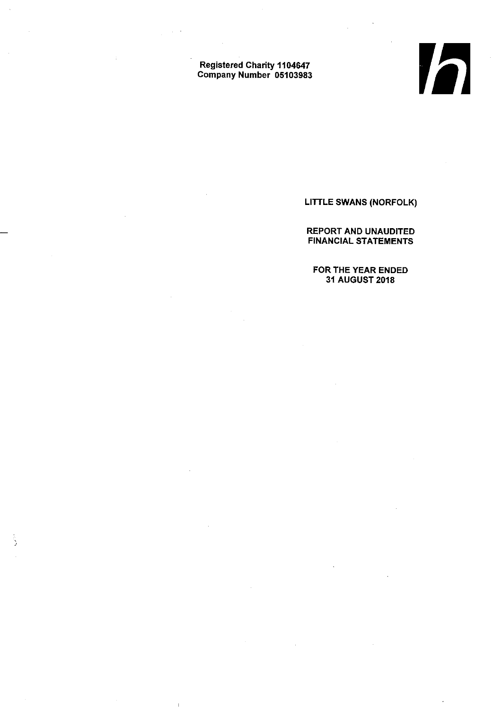Registered Charity 1104647 Company Number 05103983

 $\bar{\rm I}$ 

LITTLE SWANS (NORFOLK)

**V** 

REPORT AND UNAUDITED FINANCIAL STATEMENTS

FOR THE YEAR ENDED 31 AUGUST 2018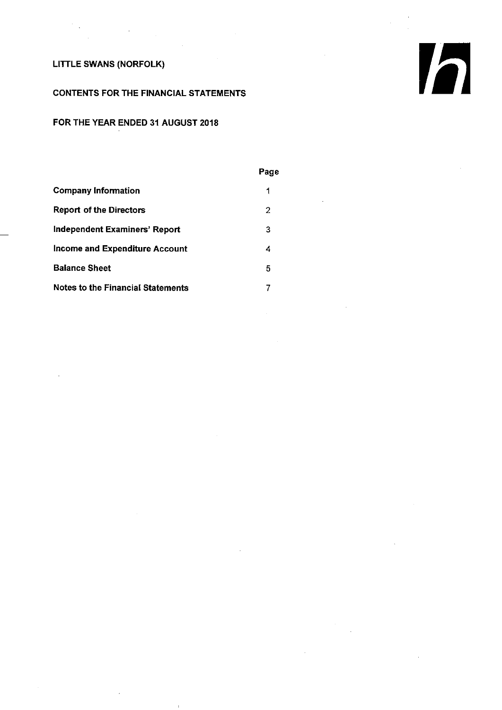# CONTENTS FOR THE FINANCIAL STATEMENTS

# FOR THE YEAR ENDED 31 AUGUST 2018

#### PageCompany Information  $\mathbf{1}$ Report of the Directors  $\overline{2}$ Independent Examiners' Report 3 Income and Expenditure Account  $\overline{4}$ Balance Sheet  $\overline{5}$ Notes to the Financial Statements  $\overline{7}$

Ih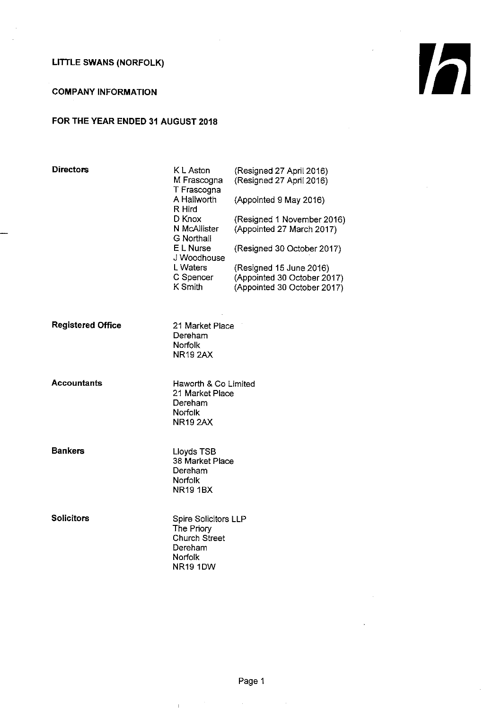# COMPANY INFORMATION

# FOR THE YEAR ENDED 31 AUGUST 2018

| <b>Directors</b>         | <b>KL</b> Aston<br>M Frascogna<br>T Frascogna<br>A Hallworth<br>R Hird<br>D Knox<br>N McAllister<br>G Northall<br>E L Nurse<br>J Woodhouse<br>L Waters<br>C Spencer<br>K Smith | (Resigned 27 April 2016)<br>(Resigned 27 April 2016)<br>(Appointed 9 May 2016)<br>(Resigned 1 November 2016)<br>(Appointed 27 March 2017)<br>(Resigned 30 October 2017)<br>(Resigned 15 June 2016)<br>(Appointed 30 October 2017)<br>(Appointed 30 October 2017) |
|--------------------------|--------------------------------------------------------------------------------------------------------------------------------------------------------------------------------|------------------------------------------------------------------------------------------------------------------------------------------------------------------------------------------------------------------------------------------------------------------|
| <b>Registered Office</b> | 21 Market Place<br>Dereham<br>Norfolk<br><b>NR19 2AX</b>                                                                                                                       |                                                                                                                                                                                                                                                                  |
| <b>Accountants</b>       | Haworth & Co Limited<br>21 Market Place<br>Dereham<br><b>Norfolk</b><br><b>NR19 2AX</b>                                                                                        |                                                                                                                                                                                                                                                                  |
| <b>Bankers</b>           | Lloyds TSB<br>38 Market Place<br>Dereham<br>Norfolk<br>NR19 1BX                                                                                                                |                                                                                                                                                                                                                                                                  |
| <b>Solicitors</b>        | <b>Spire Solicitors LLP</b><br>The Priory<br><b>Church Street</b><br>Dereham<br>Norfolk<br><b>NR19 1DW</b>                                                                     |                                                                                                                                                                                                                                                                  |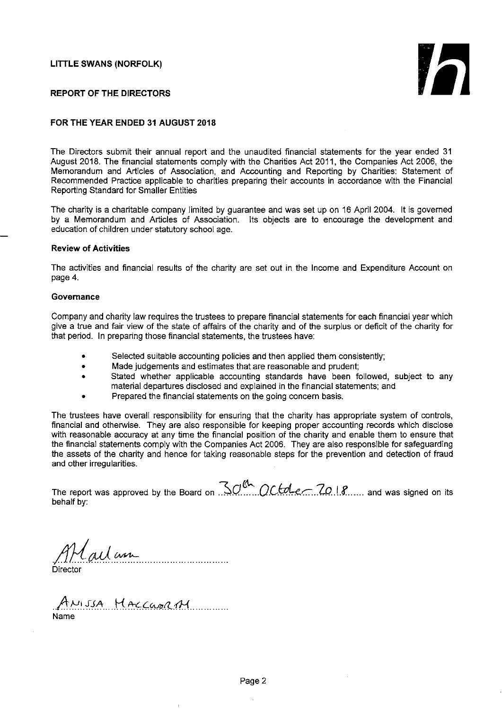

#### REPORT OF THE DIRECTORS

#### FOR THE YEAR ENDED 31 AUGUST 2018

The Directors submit their annual report and the unaudited financial statements for the year ended 31 August 2018. The financial statements comply with the Charities Act 2011, the Companies Act 2006, the Memorandum and Articles of Association, and Accounting and Reporting by Charities: Statement of Recommended Practice applicable to charities preparing their accounts in accordance with the Financial Reporting Standard for Smaller Entities

The charity is a charitable company limited by guarantee and was set up on 16 April 2004. It is governed by a Memorandum and Articles of Association. Its objects are to encourage the development and education of children under statutory school age.

#### Review of Activities

The activities and financial results of the charity are set out in the Income and Expenditure Account on page 4.

#### **Governance**

Company and charity law requires the trustees to prepare financial statements for each financial year which give a true and fair view of the state of affairs of the charity and of the surplus or deficit of the charity for that period. In preparing those financial statements, the trustees have:

- Selected suitable accounting policies and then applied them consistently;
- Made judgements and estimates that are reasonable and prudent  $\bullet$
- Stated whether applicable accounting standards have been followed, subject to any material departures disclosed and explained in the financial statements; and
- Prepared the financial statements on the going concern basis.

The trustees have overall responsibility for ensuring that the charity has appropriate system of controls, financial and otherwise. They are also responsible for keeping proper accounting records which disclose with reasonable accuracy at any time the financial position of the charity and enable them to ensure that the financial statements comply with the Companies Act 2006. They are also responsible for safeguarding the assets of the charity and hence for taking reasonable steps for the prevention and detection of fraud and other irregularities.

The report was approved by the Board on ...  $QC$  of  $QC$  or  $P$  .... and was signed on its behalf by:

Cailan 

Directo

ANISSA HACCUPRAY Name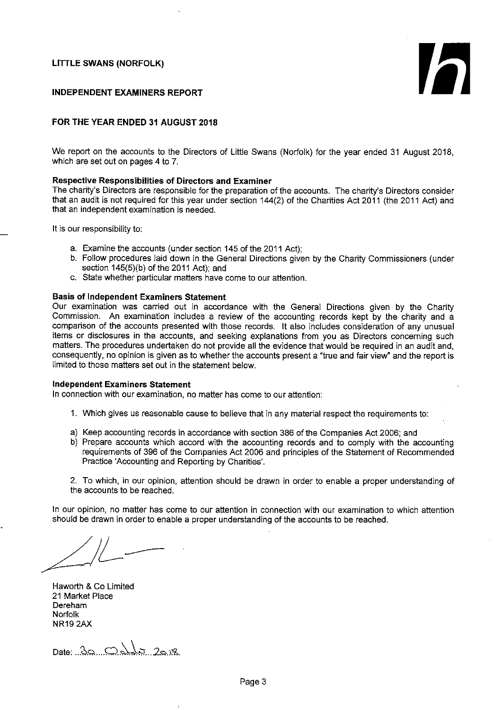h

#### INDEPENDENT EXAMINERS REPORT

## FOR THE YEAR ENDED 31 AUGUST 2018

We report on the accounts to the Directors of Little Swans (Norfolk) for the year ended 31 August 2018, which are set out on pages 4 to 7.

# Respective Responsibilities of Directors and Examiner

The charity's Directors are responsible for the preparation of the accounts. The charity's Directors consider that an audit is not required for this year under section 144(2) of the Charities Act 2011 (the 2011 Act) and that an independent examination is needed.

It is our responsibility to:

- a. Examine the accounts (under section 145 of the 2011 Act);
- b. Follow procedures laid down in the General Directions given by the Charity Commissioners (under section 145(5)(b) of the 2011 Act); and
- c. State whether particular matters have come to our attention.

#### Basis of Independent Examiners Statement

Our examination was carried out in accordance with the General Directions given by the Charity Commission. An examination includes a review of the accounting records kept by the charity and a comparison of the accounts presented with those records. It also includes consideration of any unusual items or disclosures in the accounts, and seeking explanations from you as Directors concerning such matters. The procedures undertaken do not provide all the evidence that would be required in an audit and, consequently, no opinion is given as to whether the accounts present a "true and fair view' and the report is limited to those matters set out in the statement below.

#### Independent Examiners Statement

In connection with our examination, no matter has come to our attention:

- 1. Which gives us reasonable cause to believe that in any material respect the requirements to:
- a) Keep accounting records in accordance with section 386 of the Companies Act 2006; and
- b) Prepare accounts which accord with the accounting records and to comply with the accounting requirements of 396 of the Companies Act 2006 and principles of the Statement of Recommended Practice 'Accounting and Reporting by Charities'.

2. To which, in our opinion, attention should be drawn in order to enable a proper understanding of the accounts to be reached.

In our opinion, no matter has come to our attention in connection with our examination to which attention should be drawn in order to enable a proper understanding of the accounts to be reached.

Haworth & Co Limited 21 Market Place Dereham Norfolk NR19 2AX

 $Date: . .30...C. . .11...20.08$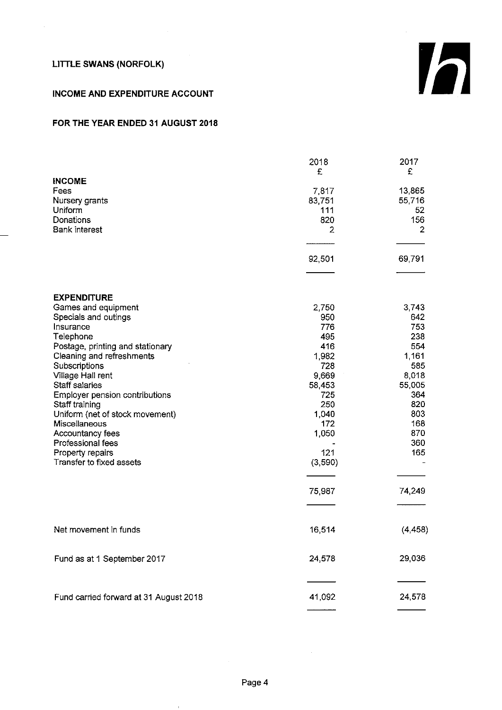# INCOME AND EXPENDITURE ACCOUNT

# FOR THE YEAR ENDED 31 AUGUST 2018

|                                                                                                                                                                                                                                                                                                                                                                                                                       | 2018<br>£                                                                                                                               | 2017<br>£                                                                                                                       |
|-----------------------------------------------------------------------------------------------------------------------------------------------------------------------------------------------------------------------------------------------------------------------------------------------------------------------------------------------------------------------------------------------------------------------|-----------------------------------------------------------------------------------------------------------------------------------------|---------------------------------------------------------------------------------------------------------------------------------|
| <b>INCOME</b><br>Fees<br>Nursery grants<br>Uniform<br>Donations<br><b>Bank interest</b>                                                                                                                                                                                                                                                                                                                               | 7.817<br>83,751<br>111<br>820<br>2                                                                                                      | 13,865<br>55,716<br>52<br>156<br>2                                                                                              |
|                                                                                                                                                                                                                                                                                                                                                                                                                       | 92,501                                                                                                                                  | 69,791                                                                                                                          |
| <b>EXPENDITURE</b><br>Games and equipment<br>Specials and outings<br>Insurance<br>Telephone<br>Postage, printing and stationary<br>Cleaning and refreshments<br>Subscriptions<br>Village Hall rent<br>Staff salaries<br>Employer pension contributions<br>Staff training<br>Uniform (net of stock movement)<br>Miscellaneous<br>Accountancy fees<br>Professional fees<br>Property repairs<br>Transfer to fixed assets | 2.750<br>950<br>776<br>495<br>416<br>1,982<br>728<br>9,669<br>58.453<br>725<br>250<br>1,040<br>172<br>1,050<br>121<br>(3,590)<br>75,987 | 3,743<br>642<br>753<br>238<br>554<br>1,161<br>585<br>8,018<br>55,005<br>364<br>820<br>803<br>168<br>870<br>360<br>165<br>74,249 |
| Net movement in funds                                                                                                                                                                                                                                                                                                                                                                                                 | 16,514                                                                                                                                  | (4, 458)                                                                                                                        |
| Fund as at 1 September 2017                                                                                                                                                                                                                                                                                                                                                                                           | 24,578                                                                                                                                  | 29,036                                                                                                                          |
| Fund carried forward at 31 August 2018                                                                                                                                                                                                                                                                                                                                                                                | 41,092                                                                                                                                  | 24,578                                                                                                                          |

 $\mathbf{I}$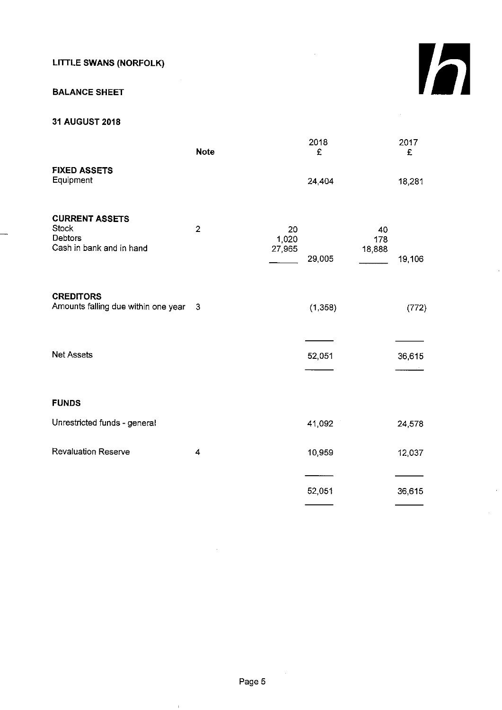# BALANCE SHEET

# 31 AUGUST 2018

| <b>Note</b>    |                       | 2018<br>£ |                     | 2017<br>£ |
|----------------|-----------------------|-----------|---------------------|-----------|
|                |                       | 24,404    |                     | 18,281    |
| $\overline{2}$ | 20<br>1,020<br>27,965 | 29,005    | 40<br>178<br>18,888 | 19,106    |
| 3              |                       | (1,358)   |                     | (772)     |
|                |                       | 52,051    |                     | 36,615    |
|                |                       |           |                     |           |
|                |                       | 41,092    |                     | 24,578    |
| 4              |                       | 10,959    |                     | 12,037    |
|                |                       | 52,051    |                     | 36,615    |
|                |                       |           |                     |           |

h

 $\bar{\rm I}$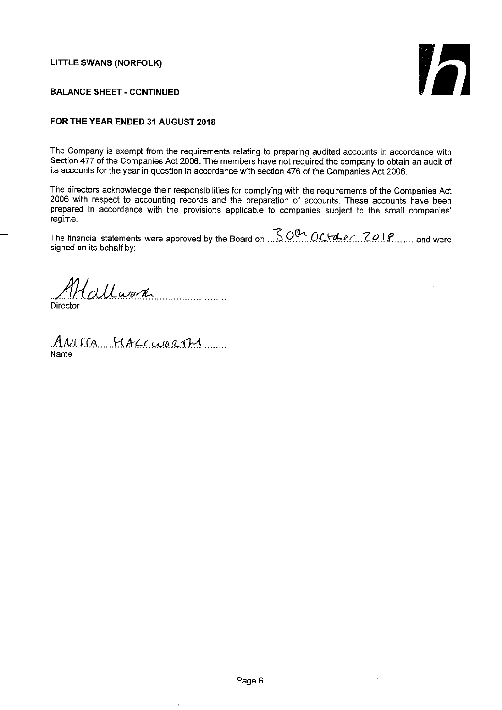

## BALANCE SHEET - CONTINUED

## FOR THE YEAR ENDED 31 AUGUST 2018

The Company is exempt from the requirements relating to preparing audited accounts in accordance with Section 477 of the Companies Act 2006. The members have not required the company to obtain an audit of its accounts for the year in question in accordance with section 476 of the Companies Act 2006.

The directors acknowledge their responsibilities for complying with the requirements of the Companies Act 2006 with respect to accounting records and the preparation of accounts. These accounts have been prepared in accordance with the provisions applicable to companies subject to the small companies' regime.

The financial statements were approved by the Board on  $\sqrt{3}$  OCtoberting 2018....... and were  $300~c$ signed on its behalf by:

Callard **Director** 

ANISCA MACCURRIM Name